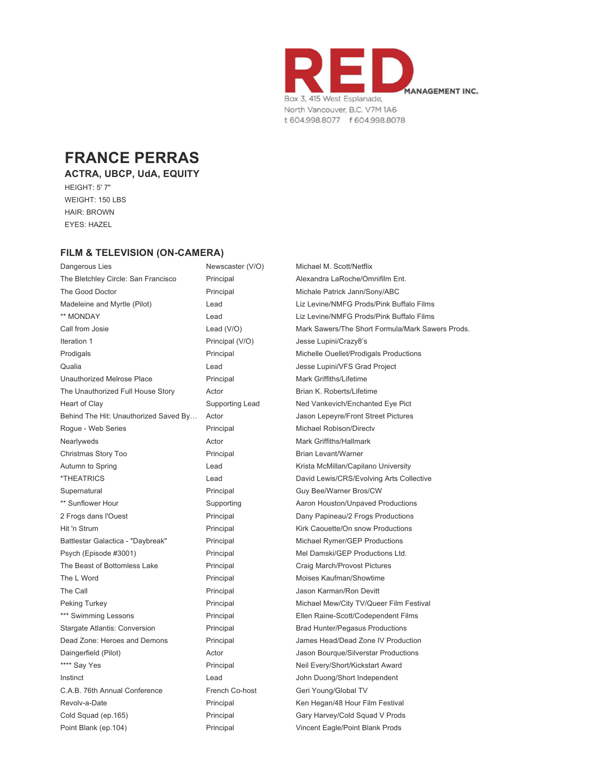

# **FRANCE PERRAS**

## **ACTRA, UBCP, UdA, EQUITY**

HEIGHT: 5' 7" WEIGHT: 150 LBS HAIR: BROWN EYES: HAZEL

## **FILM & TELEVISION (ON-CAMERA)**

Dangerous Lies The Bletchley Circle: San Francisco The Good Doctor **Principal Michale Patrick Jann/Sony/ABC** Principal Michale Patrick Jann/Sony/ABC Madeleine and Myrtle (Pilot) Lead Lead Liz Levine/NMFG Prods/Pink Buffalo Films \*\* MONDAY 
Lead
Liz Levine/NMFG Prods/Pink Buffalo Films

Lead
Liz Levine/NMFG Prods/Pink Buffalo Films Iteration 1 Prodigals Qualia Unauthorized Melrose Place **Principal Mark Griffiths/Lifetime** Mark Griffiths/Lifetime The Unauthorized Full House Story **Actor** Actor **Brian K. Roberts/Lifetime** Heart of Clay **Supporting Lead** Ned Vankevich/Enchanted Eye Pict Behind The Hit: Unauthorized Saved By... Actor Jason Lepeyre/Front Street Pictures Rogue - Web Series **Nichael Robison/Directv** Principal Michael Robison/Directv Nearlyweds **Actor** Actor Mark Griffiths/Hallmark Christmas Story Too **Principal Brian Levant/Warner** Brian Levant/Warner Autumn to Spring **Autumn to Spring Community** Lead Check Crista McMillan/Capilano University \*THEATRICS Lead David Lewis/CRS/Evolving Arts Collective Supernatural **Principal Guy Bee/Warner Bros/CW** Principal Guy Bee/Warner Bros/CW \*\* Sunflower Hour **Supporting** Aaron Houston/Unpaved Productions 2 Frogs dans l'Ouest Principal Dany Papineau/2 Frogs Productions Hit 'n Strum Principal Kirk Caouette/On snow Productions Battlestar Galactica - "Daybreak" Principal Michael Rymer/GEP Productions Psych (Episode #3001) Principal Mel Damski/GEP Productions Ltd. The Beast of Bottomless Lake Principal Craig March/Provost Pictures The L Word **Notal Accord Principal** Principal Moises Kaufman/Showtime The Call **Principal** Principal Alexander Call Principal Alexander Call Alexander Call Principal Alexander Call Alexander Call Alexander Call Principal Alexander Call Alexander Call Alexander Call Alexander Call Alexander C Peking Turkey **Principal Michael Mew/City TV/Queer Film Festival** Principal Mexical Mew/City TV/Queer Film Festival \*\*\* Swimming Lessons **Principal** Principal Ellen Raine-Scott/Codependent Films Stargate Atlantis: Conversion **Principal** Principal Brad Hunter/Pegasus Productions Dead Zone: Heroes and Demons Principal James Head/Dead Zone IV Production Daingerfield (Pilot) **Actor** Actor **Actor** Jason Bourque/Silverstar Productions \*\*\*\* Say Yes **Principal** Principal Neil Every/Short/Kickstart Award Instinct Lead John Duong/Short Independent C.A.B. 76th Annual Conference French Co-host Geri Young/Global TV Revolv-a-Date **Principal** Principal **Revolv-a-Date** Principal Ken Hegan/48 Hour Film Festival Cold Squad (ep.165) **Principal Gary Harvey/Cold Squad V Prods** Cold Squad V Prods Point Blank (ep.104) Principal Vincent Eagle/Point Blank Prods

Newscaster (V/O) Principal Principal (V/O) Principal Lead

Michael M. Scott/Netflix Alexandra LaRoche/Omnifilm Ent. Call from Josie **Lead (V/O)** Mark Sawers/The Short Formula/Mark Sawers Prods. Jesse Lupini/Crazy8's Michelle Ouellet/Prodigals Productions Jesse Lupini/VFS Grad Project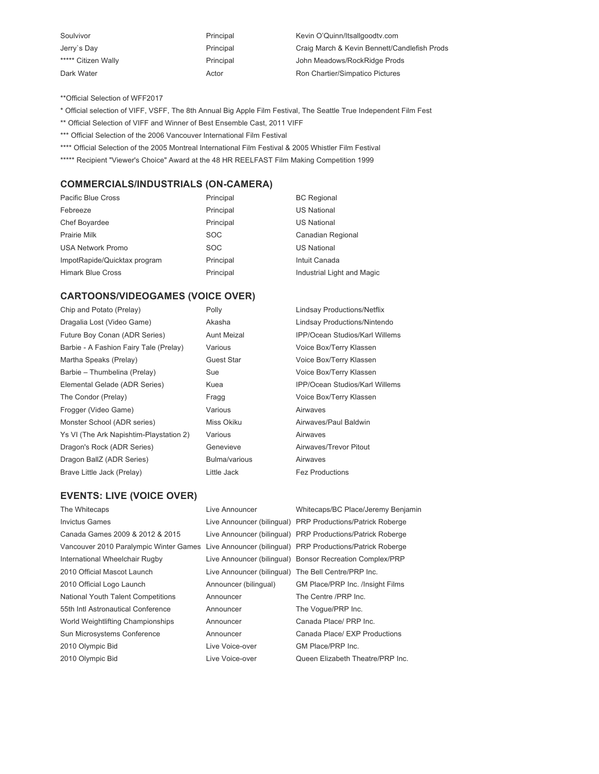| Soulvivor           | Principal | Kevin O'Quinn/Itsallgoodtv.com               |
|---------------------|-----------|----------------------------------------------|
| Jerry's Day         | Principal | Craig March & Kevin Bennett/Candlefish Prods |
| ***** Citizen Wally | Principal | John Meadows/RockRidge Prods                 |
| Dark Water          | Actor     | Ron Chartier/Simpatico Pictures              |

\*\*Official Selection of WFF2017

\* Official selection of VIFF, VSFF, The 8th Annual Big Apple Film Festival, The Seattle True Independent Film Fest

\*\* Official Selection of VIFF and Winner of Best Ensemble Cast, 2011 VIFF

\*\*\* Official Selection of the 2006 Vancouver International Film Festival

\*\*\*\* Official Selection of the 2005 Montreal International Film Festival & 2005 Whistler Film Festival

\*\*\*\*\* Recipient "Viewer's Choice" Award at the 48 HR REELFAST Film Making Competition 1999

## **COMMERCIALS/INDUSTRIALS (ON-CAMERA)**

| Pacific Blue Cross           | Principal  | <b>BC</b> Regional         |
|------------------------------|------------|----------------------------|
| Febreeze                     | Principal  | <b>US National</b>         |
| <b>Chef Boyardee</b>         | Principal  | <b>US National</b>         |
| <b>Prairie Milk</b>          | <b>SOC</b> | Canadian Regional          |
| <b>USA Network Promo</b>     | <b>SOC</b> | <b>US National</b>         |
| ImpotRapide/Quicktax program | Principal  | Intuit Canada              |
| <b>Himark Blue Cross</b>     | Principal  | Industrial Light and Magic |

# **CARTOONS/VIDEOGAMES (VOICE OVER)**

|                    | Lindsay F       |
|--------------------|-----------------|
| Akasha             | Lindsay F       |
| <b>Aunt Meizal</b> | <b>IPP/Ocea</b> |
| Various            | Voice Bo        |
| Guest Star         | Voice Bo        |
| Sue                | Voice Bo        |
| Kuea               | <b>IPP/Ocea</b> |
| Fragg              | Voice Bo        |
| Various            | Airwaves        |
| Miss Okiku         | Airwaves        |
| Various            | Airwaves        |
| Genevieve          | Airwaves        |
| Bulma/various      | Airwaves        |
| Little Jack        | Fez Prod        |
|                    | Polly           |

Lindsay Productions/Netflix Lindsay Productions/Nintendo IPP/Ocean Studios/Karl Willems Voice Box/Terry Klassen Guest Star **Martha Speaks (Prelay) Contains Guest Star Guest** Star Sue **Sue Example 19 Sue Voice Box/Terry Klassen** Kuea **IPP/Ocean Studios/Karl Willems** Fragg Voice Box/Terry Klassen Various **Airwaves** Miss Okiku Airwaves/Paul Baldwin Genevieve Airwaves/Trevor Pitout Bulma/various Airwaves Little Jack Fez Productions

# **EVENTS: LIVE (VOICE OVER)**

The Whitecaps Invictus Games Canada Games 2009 & 2012 & 2015 Live Announcer (bilingual) PRP Productions/Patrick Roberge Vancouver 2010 Paralympic Winter Games Live Announcer (bilingual) PRP Productions/Patrick Roberge International Wheelchair Rugby Live Announcer (bilingual) Bonsor Recreation Complex/PRP 2010 Official Mascot Launch Live Announcer (bilingual) The Bell Centre/PRP Inc. 2010 Official Logo Launch **Announcer (bilingual)** GM Place/PRP Inc. /Insight Films National Youth Talent Competitions Announcer The Centre /PRP Inc. 55th Intl Astronautical Conference Announcer The Vogue/PRP Inc. World Weightlifting Championships **Announcer** Canada Place/ PRP Inc. Sun Microsystems Conference Announcer Canada Place/ EXP Productions 2010 Olympic Bid **Live Voice-over** GM Place/PRP Inc. 2010 Olympic Bid **Live Voice-over** Queen Elizabeth Theatre/PRP Inc.

Live Announcer

Live Announcer (bilingual) PRP Productions/Patrick Roberge Whitecaps/BC Place/Jeremy Benjamin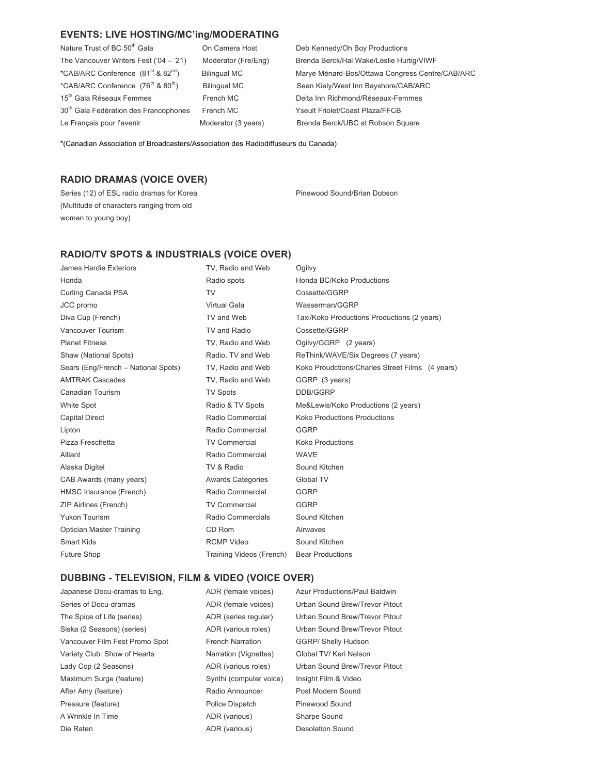## **EVENTS: LIVE HOSTING/MC'ing/MODERATING**

| Nature Trust of BC 50 <sup>th</sup> Gala                   | On   |
|------------------------------------------------------------|------|
| The Vancouver Writers Fest ('04 - '21)                     | Mc   |
| *CAB/ARC Conference (81 <sup>st</sup> & 82 <sup>nd</sup> ) | Bili |
| *CAB/ARC Conference (76 <sup>th</sup> & 80 <sup>th</sup> ) | Bili |
| 15 <sup>th</sup> Gala Réseaux Femmes                       |      |
| 30 <sup>th</sup> Gala Fedération des Francophones          |      |
| Le Français pour l'avenir                                  |      |

Camera Host **Deb Kennedy/Oh Boy Productions** oderator (Fre/Eng) **Brenda Berck/Hal Wake/Leslie Hurtig/VIWF** ingual MC **Conference Conference Mediana** Bos/Ottawa Congress Centre/CAB/ARC ingual MC Sean Kiely/West Inn Bayshore/CAB/ARC ench MC **15th Galam Belta Inn Richmond/Réseaux-Femmes** 30th MC Teach MC Yseult Friolet/Coast Plaza/FFCB derator (3 years) Brenda Berck/UBC at Robson Square

\*(Canadian Association of Broadcasters/Association des Radiodiffuseurs du Canada)

#### **RADIO DRAMAS (VOICE OVER)**

Series (12) of ESL radio dramas for Korea Pinewood Sound/Brian Dobson (Multitude of characters ranging from old woman to young boy)

## **RADIO/TV SPOTS & INDUSTRIALS (VOICE OVER)**

James Hardie Exteriors Honda Curling Canada PSA JCC promo Diva Cup (French) TV, Radio and Web Radio spots TV Virtual Gala TV and Web Vancouver Tourism Planet Fitness Shaw (National Spots) TV and Radio TV, Radio and Web Radio, TV and Web Sears (Eng/French – National Spots) AMTRAK Cascades Canadian Tourism TV, Radio and Web TV, Radio and Web TV Spots White Spot **Radio & TV Spots** Me&Lewis/Koko Productions (2 years) Me Capital Direct Radio Commercial Koko Productions Productions Lipton **Commercial** Commercial GGRP Pizza Freschetta **TV Commercial** Koko Productions Alliant **Alliant Radio Commercial** WAVE Alaska Digitel **Alaska Digitel TV & Radio** Sound Kitchen CAB Awards (many years) Manuel Awards Categories Global TV HMSC Insurance (French) Radio Commercial GGRP ZIP Airlines (French) TV Commercial GGRP Yukon Tourism **National Commercials** Sound Kitchen Optician Master Training CD Rom Airwaves Smart Kids **Smart Kids** RCMP Video Sound Kitchen Future Shop **Training Videos (French)** Bear Productions

Ogilvy Honda BC/Koko Productions Cossette/GGRP Wasserman/GGRP Taxi/Koko Productions Productions (2 years) Cossette/GGRP Ogilvy/GGRP (2 years) ReThink/WAVE/Six Degrees (7 years) Koko Proudctions/Charles Street Films (4 years) GGRP (3 years) DDB/GGRP

#### **DUBBING - TELEVISION, FILM & VIDEO (VOICE OVER)**

Japanese Docu-dramas to Eng. Series of Docu-dramas The Spice of Life (series) ADR (series regular) Urban Sound Brew/Trevor Pitout Siska (2 Seasons) (series) ADR (various roles) Urban Sound Brew/Trevor Pitout Vancouver Film Fest Promo Spot French Narration GGRP/ Shelly Hudson Variety Club: Show of Hearts Narration (Vignettes) Global TV/ Keri Nelson Lady Cop (2 Seasons) **ADR** (various roles) Urban Sound Brew/Trevor Pitout Maximum Surge (feature) Synthi (computer voice) Insight Film & Video After Amy (feature) **Radio Announcer** Post Modern Sound Pressure (feature) **Police Dispatch** Pinewood Sound A Wrinkle In Time **ADR** (various) Sharpe Sound Die Raten **ADR** (various) Desolation Sound

ADR (female voices) ADR (female voices)

Azur Productions/Paul Baldwin Urban Sound Brew/Trevor Pitout